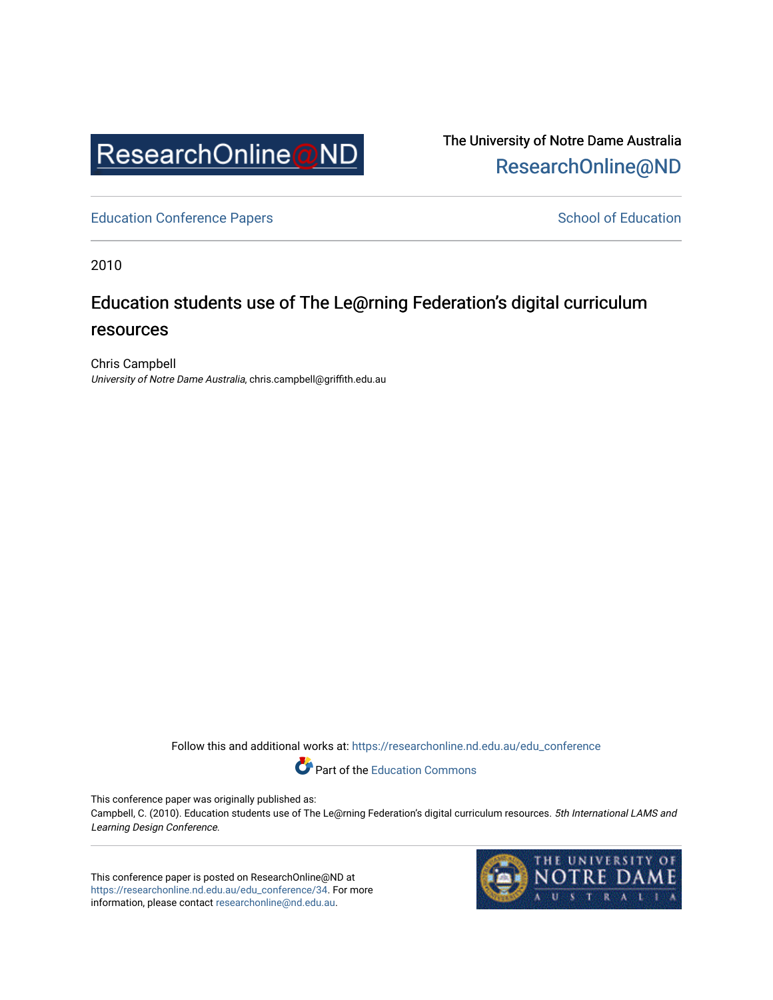

The University of Notre Dame Australia [ResearchOnline@ND](https://researchonline.nd.edu.au/) 

[Education Conference Papers](https://researchonline.nd.edu.au/edu_conference) **School of Education** School of Education

2010

# Education students use of The Le@rning Federation's digital curriculum resources

Chris Campbell University of Notre Dame Australia, chris.campbell@griffith.edu.au

Follow this and additional works at: [https://researchonline.nd.edu.au/edu\\_conference](https://researchonline.nd.edu.au/edu_conference?utm_source=researchonline.nd.edu.au%2Fedu_conference%2F34&utm_medium=PDF&utm_campaign=PDFCoverPages)

Part of the [Education Commons](http://network.bepress.com/hgg/discipline/784?utm_source=researchonline.nd.edu.au%2Fedu_conference%2F34&utm_medium=PDF&utm_campaign=PDFCoverPages) 

This conference paper was originally published as:

Campbell, C. (2010). Education students use of The Le@rning Federation's digital curriculum resources. 5th International LAMS and Learning Design Conference.

This conference paper is posted on ResearchOnline@ND at [https://researchonline.nd.edu.au/edu\\_conference/34.](https://researchonline.nd.edu.au/edu_conference/34) For more information, please contact [researchonline@nd.edu.au.](mailto:researchonline@nd.edu.au)

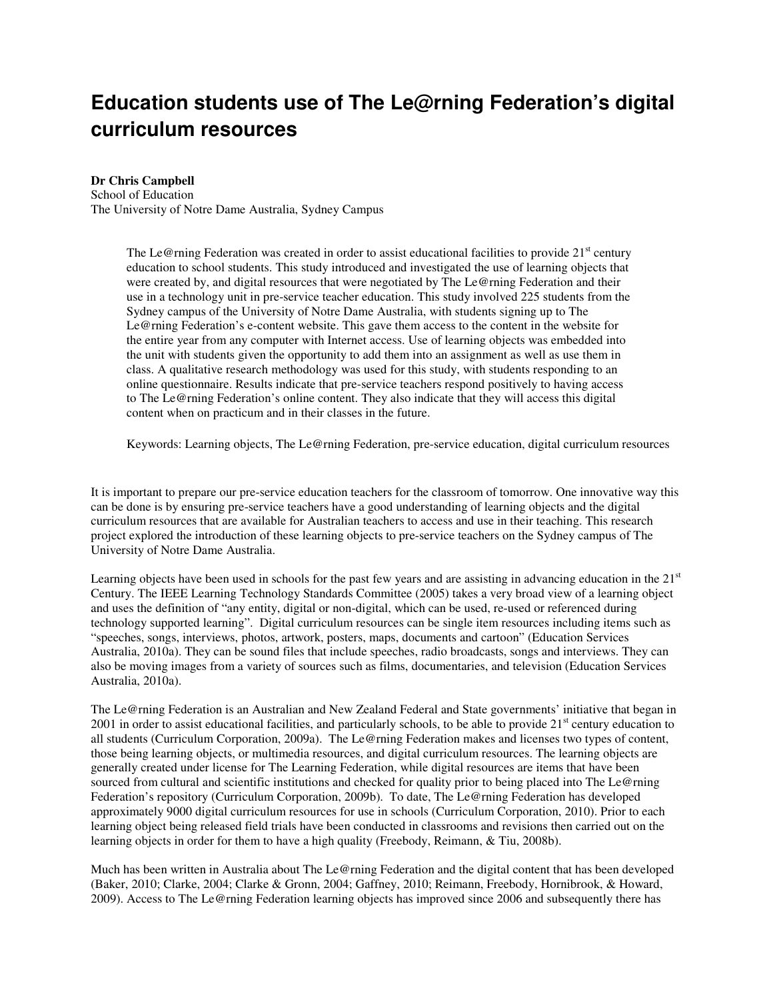# **Education students use of The Le@rning Federation's digital curriculum resources**

#### **Dr Chris Campbell**

School of Education The University of Notre Dame Australia, Sydney Campus

> The Le@rning Federation was created in order to assist educational facilities to provide 21<sup>st</sup> century education to school students. This study introduced and investigated the use of learning objects that were created by, and digital resources that were negotiated by The Le@rning Federation and their use in a technology unit in pre-service teacher education. This study involved 225 students from the Sydney campus of the University of Notre Dame Australia, with students signing up to The Le@rning Federation's e-content website. This gave them access to the content in the website for the entire year from any computer with Internet access. Use of learning objects was embedded into the unit with students given the opportunity to add them into an assignment as well as use them in class. A qualitative research methodology was used for this study, with students responding to an online questionnaire. Results indicate that pre-service teachers respond positively to having access to The Le@rning Federation's online content. They also indicate that they will access this digital content when on practicum and in their classes in the future.

Keywords: Learning objects, The Le@rning Federation, pre-service education, digital curriculum resources

It is important to prepare our pre-service education teachers for the classroom of tomorrow. One innovative way this can be done is by ensuring pre-service teachers have a good understanding of learning objects and the digital curriculum resources that are available for Australian teachers to access and use in their teaching. This research project explored the introduction of these learning objects to pre-service teachers on the Sydney campus of The University of Notre Dame Australia.

Learning objects have been used in schools for the past few years and are assisting in advancing education in the  $21<sup>st</sup>$ Century. The IEEE Learning Technology Standards Committee (2005) takes a very broad view of a learning object and uses the definition of "any entity, digital or non-digital, which can be used, re-used or referenced during technology supported learning". Digital curriculum resources can be single item resources including items such as "speeches, songs, interviews, photos, artwork, posters, maps, documents and cartoon" (Education Services Australia, 2010a). They can be sound files that include speeches, radio broadcasts, songs and interviews. They can also be moving images from a variety of sources such as films, documentaries, and television (Education Services Australia, 2010a).

The Le@rning Federation is an Australian and New Zealand Federal and State governments' initiative that began in 2001 in order to assist educational facilities, and particularly schools, to be able to provide  $21<sup>st</sup>$  century education to all students (Curriculum Corporation, 2009a). The Le@rning Federation makes and licenses two types of content, those being learning objects, or multimedia resources, and digital curriculum resources. The learning objects are generally created under license for The Learning Federation, while digital resources are items that have been sourced from cultural and scientific institutions and checked for quality prior to being placed into The Le@rning Federation's repository (Curriculum Corporation, 2009b). To date, The Le@rning Federation has developed approximately 9000 digital curriculum resources for use in schools (Curriculum Corporation, 2010). Prior to each learning object being released field trials have been conducted in classrooms and revisions then carried out on the learning objects in order for them to have a high quality (Freebody, Reimann, & Tiu, 2008b).

Much has been written in Australia about The Le@rning Federation and the digital content that has been developed (Baker, 2010; Clarke, 2004; Clarke & Gronn, 2004; Gaffney, 2010; Reimann, Freebody, Hornibrook, & Howard, 2009). Access to The Le@rning Federation learning objects has improved since 2006 and subsequently there has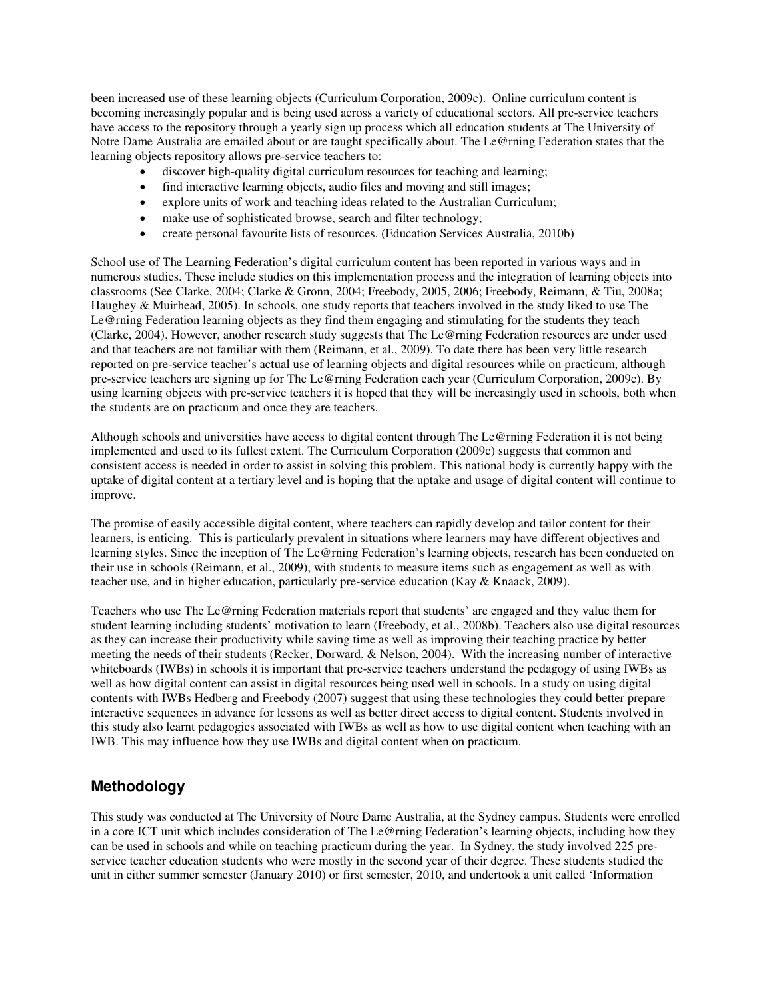been increased use of these learning objects (Curriculum Corporation, 2009c). Online curriculum content is becoming increasingly popular and is being used across a variety of educational sectors. All pre-service teachers have access to the repository through a yearly sign up process which all education students at The University of Notre Dame Australia are emailed about or are taught specifically about. The Le@rning Federation states that the learning objects repository allows pre-service teachers to:

- discover high-quality digital curriculum resources for teaching and learning;
- find interactive learning objects, audio files and moving and still images;
- explore units of work and teaching ideas related to the Australian Curriculum;
- make use of sophisticated browse, search and filter technology;
- create personal favourite lists of resources. (Education Services Australia, 2010b)

School use of The Learning Federation's digital curriculum content has been reported in various ways and in numerous studies. These include studies on this implementation process and the integration of learning objects into classrooms (See Clarke, 2004; Clarke & Gronn, 2004; Freebody, 2005, 2006; Freebody, Reimann, & Tiu, 2008a; Haughey & Muirhead, 2005). In schools, one study reports that teachers involved in the study liked to use The Le@rning Federation learning objects as they find them engaging and stimulating for the students they teach (Clarke, 2004). However, another research study suggests that The Le@rning Federation resources are under used and that teachers are not familiar with them (Reimann, et al., 2009). To date there has been very little research reported on pre-service teacher's actual use of learning objects and digital resources while on practicum, although pre-service teachers are signing up for The Le@rning Federation each year (Curriculum Corporation, 2009c). By using learning objects with pre-service teachers it is hoped that they will be increasingly used in schools, both when the students are on practicum and once they are teachers.

Although schools and universities have access to digital content through The Le@rning Federation it is not being implemented and used to its fullest extent. The Curriculum Corporation (2009c) suggests that common and consistent access is needed in order to assist in solving this problem. This national body is currently happy with the uptake of digital content at a tertiary level and is hoping that the uptake and usage of digital content will continue to improve.

The promise of easily accessible digital content, where teachers can rapidly develop and tailor content for their learners, is enticing. This is particularly prevalent in situations where learners may have different objectives and learning styles. Since the inception of The Le@rning Federation's learning objects, research has been conducted on their use in schools (Reimann, et al., 2009), with students to measure items such as engagement as well as with teacher use, and in higher education, particularly pre-service education (Kay & Knaack, 2009).

Teachers who use The Le@rning Federation materials report that students' are engaged and they value them for student learning including students' motivation to learn (Freebody, et al., 2008b). Teachers also use digital resources as they can increase their productivity while saving time as well as improving their teaching practice by better meeting the needs of their students (Recker, Dorward, & Nelson, 2004). With the increasing number of interactive whiteboards (IWBs) in schools it is important that pre-service teachers understand the pedagogy of using IWBs as well as how digital content can assist in digital resources being used well in schools. In a study on using digital contents with IWBs Hedberg and Freebody (2007) suggest that using these technologies they could better prepare interactive sequences in advance for lessons as well as better direct access to digital content. Students involved in this study also learnt pedagogies associated with IWBs as well as how to use digital content when teaching with an IWB. This may influence how they use IWBs and digital content when on practicum.

## **Methodology**

This study was conducted at The University of Notre Dame Australia, at the Sydney campus. Students were enrolled in a core ICT unit which includes consideration of The Le@rning Federation's learning objects, including how they can be used in schools and while on teaching practicum during the year. In Sydney, the study involved 225 preservice teacher education students who were mostly in the second year of their degree. These students studied the unit in either summer semester (January 2010) or first semester, 2010, and undertook a unit called 'Information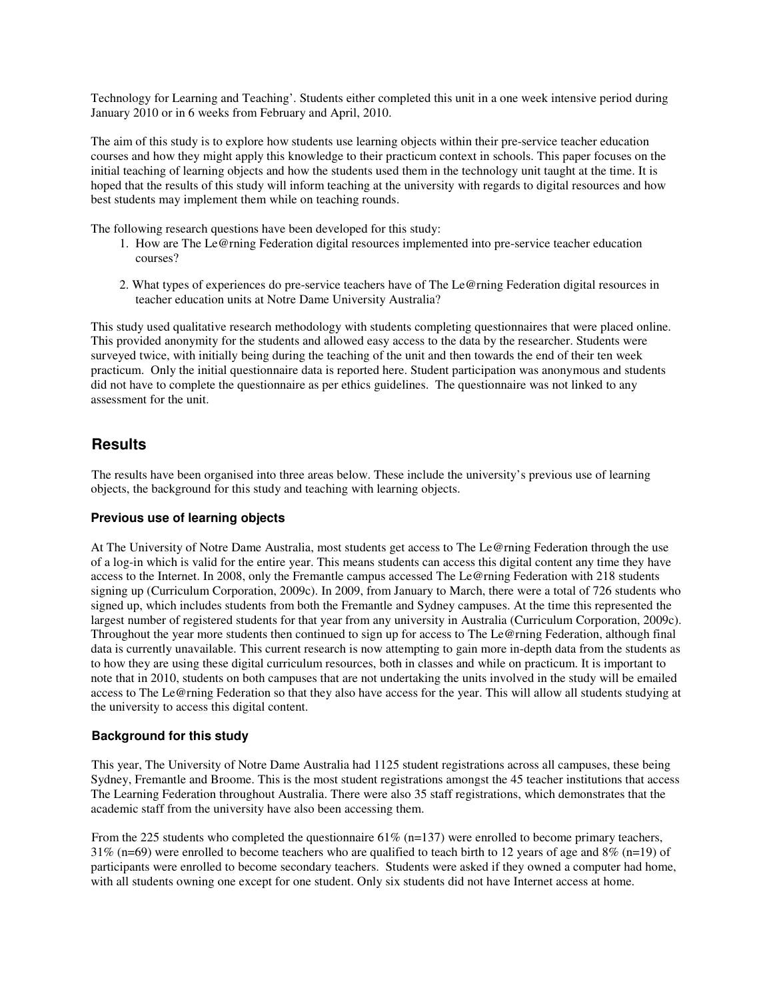Technology for Learning and Teaching'. Students either completed this unit in a one week intensive period during January 2010 or in 6 weeks from February and April, 2010.

The aim of this study is to explore how students use learning objects within their pre-service teacher education courses and how they might apply this knowledge to their practicum context in schools. This paper focuses on the initial teaching of learning objects and how the students used them in the technology unit taught at the time. It is hoped that the results of this study will inform teaching at the university with regards to digital resources and how best students may implement them while on teaching rounds.

The following research questions have been developed for this study:

- 1. How are The Le@rning Federation digital resources implemented into pre-service teacher education courses?
- 2. What types of experiences do pre-service teachers have of The Le@rning Federation digital resources in teacher education units at Notre Dame University Australia?

This study used qualitative research methodology with students completing questionnaires that were placed online. This provided anonymity for the students and allowed easy access to the data by the researcher. Students were surveyed twice, with initially being during the teaching of the unit and then towards the end of their ten week practicum. Only the initial questionnaire data is reported here. Student participation was anonymous and students did not have to complete the questionnaire as per ethics guidelines. The questionnaire was not linked to any assessment for the unit.

## **Results**

The results have been organised into three areas below. These include the university's previous use of learning objects, the background for this study and teaching with learning objects.

#### **Previous use of learning objects**

At The University of Notre Dame Australia, most students get access to The Le@rning Federation through the use of a log-in which is valid for the entire year. This means students can access this digital content any time they have access to the Internet. In 2008, only the Fremantle campus accessed The Le@rning Federation with 218 students signing up (Curriculum Corporation, 2009c). In 2009, from January to March, there were a total of 726 students who signed up, which includes students from both the Fremantle and Sydney campuses. At the time this represented the largest number of registered students for that year from any university in Australia (Curriculum Corporation, 2009c). Throughout the year more students then continued to sign up for access to The Le@rning Federation, although final data is currently unavailable. This current research is now attempting to gain more in-depth data from the students as to how they are using these digital curriculum resources, both in classes and while on practicum. It is important to note that in 2010, students on both campuses that are not undertaking the units involved in the study will be emailed access to The Le@rning Federation so that they also have access for the year. This will allow all students studying at the university to access this digital content.

### **Background for this study**

This year, The University of Notre Dame Australia had 1125 student registrations across all campuses, these being Sydney, Fremantle and Broome. This is the most student registrations amongst the 45 teacher institutions that access The Learning Federation throughout Australia. There were also 35 staff registrations, which demonstrates that the academic staff from the university have also been accessing them.

From the 225 students who completed the questionnaire 61% (n=137) were enrolled to become primary teachers, 31% (n=69) were enrolled to become teachers who are qualified to teach birth to 12 years of age and  $8\%$  (n=19) of participants were enrolled to become secondary teachers. Students were asked if they owned a computer had home, with all students owning one except for one student. Only six students did not have Internet access at home.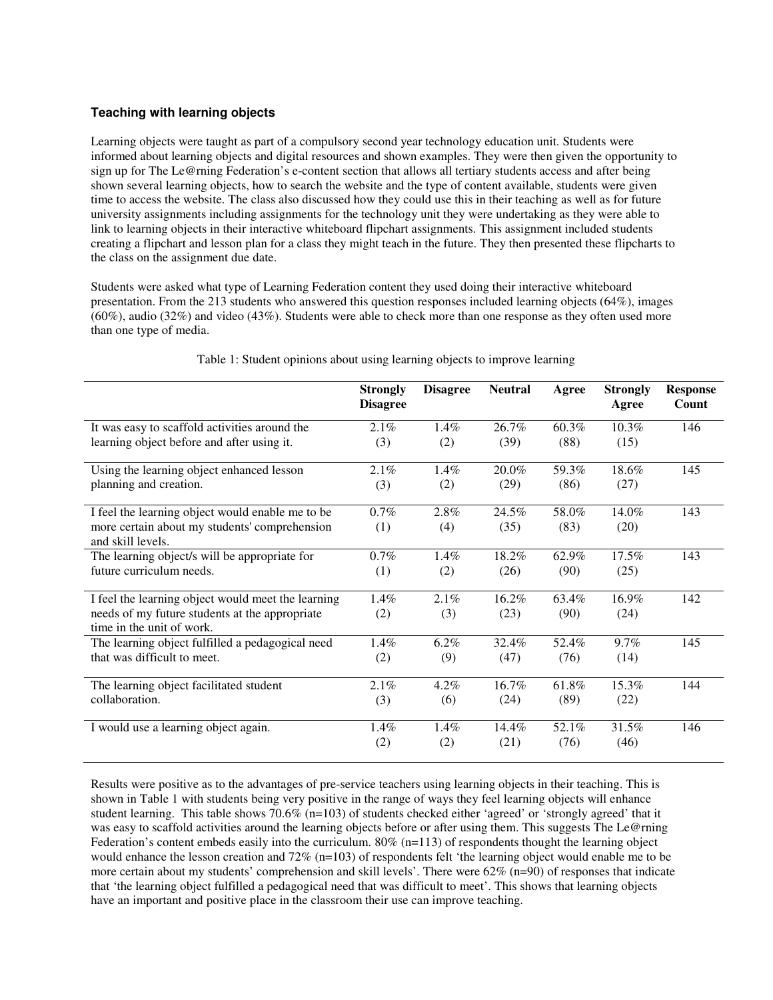#### **Teaching with learning objects**

Learning objects were taught as part of a compulsory second year technology education unit. Students were informed about learning objects and digital resources and shown examples. They were then given the opportunity to sign up for The Le@rning Federation's e-content section that allows all tertiary students access and after being shown several learning objects, how to search the website and the type of content available, students were given time to access the website. The class also discussed how they could use this in their teaching as well as for future university assignments including assignments for the technology unit they were undertaking as they were able to link to learning objects in their interactive whiteboard flipchart assignments. This assignment included students creating a flipchart and lesson plan for a class they might teach in the future. They then presented these flipcharts to the class on the assignment due date.

Students were asked what type of Learning Federation content they used doing their interactive whiteboard presentation. From the 213 students who answered this question responses included learning objects (64%), images (60%), audio (32%) and video (43%). Students were able to check more than one response as they often used more than one type of media.

|                                                                             | <b>Strongly</b><br><b>Disagree</b> | <b>Disagree</b> | <b>Neutral</b> | Agree | <b>Strongly</b><br>Agree | <b>Response</b><br>Count |
|-----------------------------------------------------------------------------|------------------------------------|-----------------|----------------|-------|--------------------------|--------------------------|
| It was easy to scaffold activities around the                               | 2.1%                               | $1.4\%$         | 26.7%          | 60.3% | 10.3%                    | 146                      |
| learning object before and after using it.                                  | (3)                                | (2)             | (39)           | (88)  | (15)                     |                          |
| Using the learning object enhanced lesson                                   | $2.1\%$                            | $1.4\%$         | 20.0%          | 59.3% | 18.6%                    | 145                      |
| planning and creation.                                                      | (3)                                | (2)             | (29)           | (86)  | (27)                     |                          |
| I feel the learning object would enable me to be                            | $0.7\%$                            | 2.8%            | 24.5%          | 58.0% | 14.0%                    | 143                      |
| more certain about my students' comprehension<br>and skill levels.          | (1)                                | (4)             | (35)           | (83)  | (20)                     |                          |
| The learning object/s will be appropriate for                               | $0.7\%$                            | 1.4%            | 18.2%          | 62.9% | 17.5%                    | 143                      |
| future curriculum needs.                                                    | (1)                                | (2)             | (26)           | (90)  | (25)                     |                          |
| I feel the learning object would meet the learning                          | 1.4%                               | $2.1\%$         | 16.2%          | 63.4% | 16.9%                    | 142                      |
| needs of my future students at the appropriate<br>time in the unit of work. | (2)                                | (3)             | (23)           | (90)  | (24)                     |                          |
| The learning object fulfilled a pedagogical need                            | $1.4\%$                            | $6.2\%$         | 32.4%          | 52.4% | $9.7\%$                  | 145                      |
| that was difficult to meet.                                                 | (2)                                | (9)             | (47)           | (76)  | (14)                     |                          |
| The learning object facilitated student                                     | 2.1%                               | 4.2%            | 16.7%          | 61.8% | 15.3%                    | 144                      |
| collaboration.                                                              | (3)                                | (6)             | (24)           | (89)  | (22)                     |                          |
| I would use a learning object again.                                        | $1.4\%$                            | $1.4\%$         | 14.4%          | 52.1% | 31.5%                    | 146                      |
|                                                                             | (2)                                | (2)             | (21)           | (76)  | (46)                     |                          |

#### Table 1: Student opinions about using learning objects to improve learning

Results were positive as to the advantages of pre-service teachers using learning objects in their teaching. This is shown in Table 1 with students being very positive in the range of ways they feel learning objects will enhance student learning. This table shows 70.6% (n=103) of students checked either 'agreed' or 'strongly agreed' that it was easy to scaffold activities around the learning objects before or after using them. This suggests The Le@rning Federation's content embeds easily into the curriculum.  $80\%$  (n=113) of respondents thought the learning object would enhance the lesson creation and 72% (n=103) of respondents felt 'the learning object would enable me to be more certain about my students' comprehension and skill levels'. There were 62% (n=90) of responses that indicate that 'the learning object fulfilled a pedagogical need that was difficult to meet'. This shows that learning objects have an important and positive place in the classroom their use can improve teaching.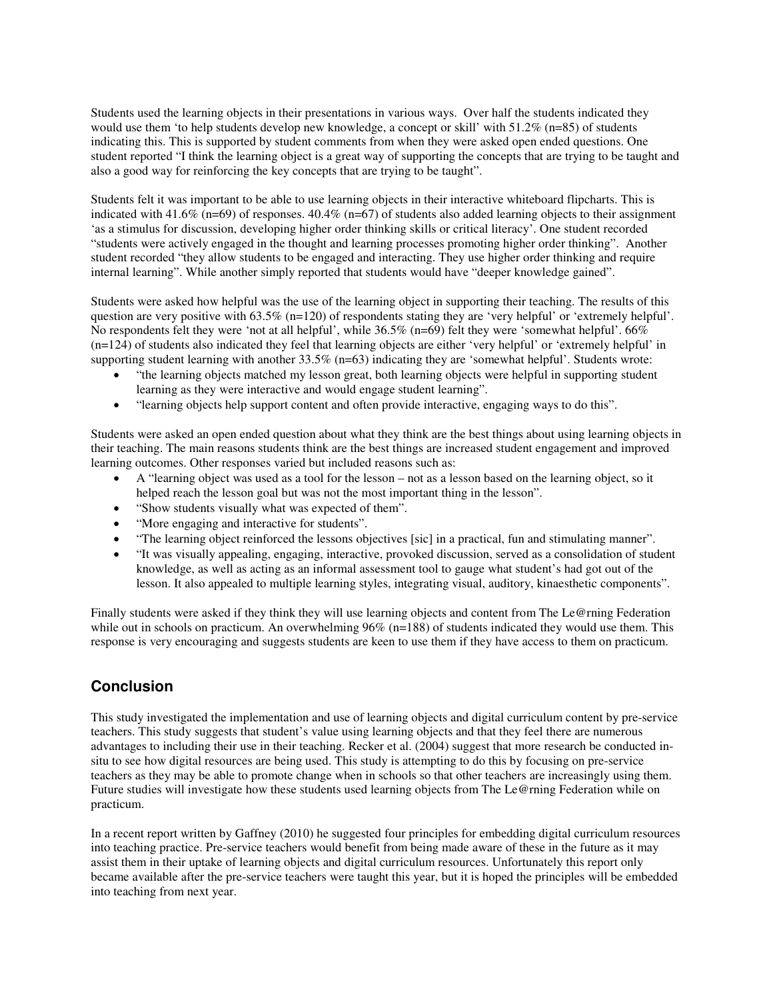Students used the learning objects in their presentations in various ways. Over half the students indicated they would use them 'to help students develop new knowledge, a concept or skill' with 51.2% (n=85) of students indicating this. This is supported by student comments from when they were asked open ended questions. One student reported "I think the learning object is a great way of supporting the concepts that are trying to be taught and also a good way for reinforcing the key concepts that are trying to be taught".

Students felt it was important to be able to use learning objects in their interactive whiteboard flipcharts. This is indicated with 41.6% (n=69) of responses. 40.4% (n=67) of students also added learning objects to their assignment 'as a stimulus for discussion, developing higher order thinking skills or critical literacy'. One student recorded "students were actively engaged in the thought and learning processes promoting higher order thinking". Another student recorded "they allow students to be engaged and interacting. They use higher order thinking and require internal learning". While another simply reported that students would have "deeper knowledge gained".

Students were asked how helpful was the use of the learning object in supporting their teaching. The results of this question are very positive with  $63.5\%$  (n=120) of respondents stating they are 'very helpful' or 'extremely helpful'. No respondents felt they were 'not at all helpful', while 36.5% (n=69) felt they were 'somewhat helpful'. 66% (n=124) of students also indicated they feel that learning objects are either 'very helpful' or 'extremely helpful' in supporting student learning with another 33.5% (n=63) indicating they are 'somewhat helpful'. Students wrote:

- "the learning objects matched my lesson great, both learning objects were helpful in supporting student learning as they were interactive and would engage student learning".
- "learning objects help support content and often provide interactive, engaging ways to do this".

Students were asked an open ended question about what they think are the best things about using learning objects in their teaching. The main reasons students think are the best things are increased student engagement and improved learning outcomes. Other responses varied but included reasons such as:

- A "learning object was used as a tool for the lesson not as a lesson based on the learning object, so it helped reach the lesson goal but was not the most important thing in the lesson".
- "Show students visually what was expected of them".
- "More engaging and interactive for students".
- "The learning object reinforced the lessons objectives [sic] in a practical, fun and stimulating manner".
- "It was visually appealing, engaging, interactive, provoked discussion, served as a consolidation of student knowledge, as well as acting as an informal assessment tool to gauge what student's had got out of the lesson. It also appealed to multiple learning styles, integrating visual, auditory, kinaesthetic components".

Finally students were asked if they think they will use learning objects and content from The Le@rning Federation while out in schools on practicum. An overwhelming  $96\%$  (n=188) of students indicated they would use them. This response is very encouraging and suggests students are keen to use them if they have access to them on practicum.

## **Conclusion**

This study investigated the implementation and use of learning objects and digital curriculum content by pre-service teachers. This study suggests that student's value using learning objects and that they feel there are numerous advantages to including their use in their teaching. Recker et al. (2004) suggest that more research be conducted insitu to see how digital resources are being used. This study is attempting to do this by focusing on pre-service teachers as they may be able to promote change when in schools so that other teachers are increasingly using them. Future studies will investigate how these students used learning objects from The Le@rning Federation while on practicum.

In a recent report written by Gaffney (2010) he suggested four principles for embedding digital curriculum resources into teaching practice. Pre-service teachers would benefit from being made aware of these in the future as it may assist them in their uptake of learning objects and digital curriculum resources. Unfortunately this report only became available after the pre-service teachers were taught this year, but it is hoped the principles will be embedded into teaching from next year.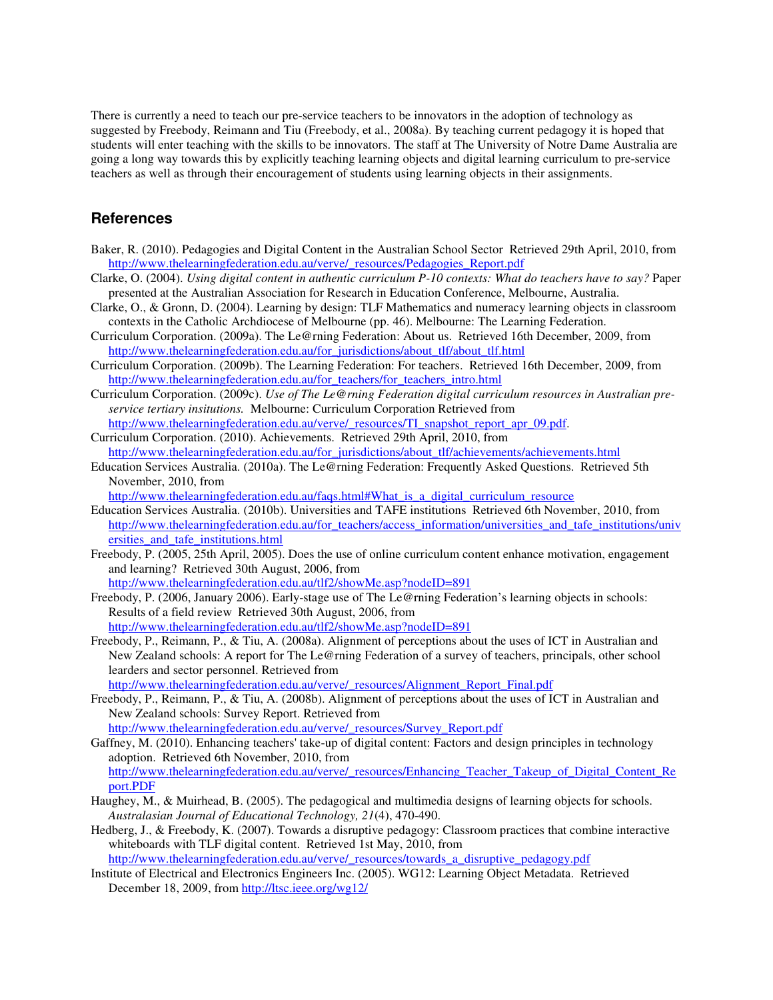There is currently a need to teach our pre-service teachers to be innovators in the adoption of technology as suggested by Freebody, Reimann and Tiu (Freebody, et al., 2008a). By teaching current pedagogy it is hoped that students will enter teaching with the skills to be innovators. The staff at The University of Notre Dame Australia are going a long way towards this by explicitly teaching learning objects and digital learning curriculum to pre-service teachers as well as through their encouragement of students using learning objects in their assignments.

### **References**

- Baker, R. (2010). Pedagogies and Digital Content in the Australian School Sector Retrieved 29th April, 2010, from http://www.thelearningfederation.edu.au/verve/\_resources/Pedagogies\_Report.pdf
- Clarke, O. (2004). *Using digital content in authentic curriculum P-10 contexts: What do teachers have to say?* Paper presented at the Australian Association for Research in Education Conference, Melbourne, Australia.
- Clarke, O., & Gronn, D. (2004). Learning by design: TLF Mathematics and numeracy learning objects in classroom contexts in the Catholic Archdiocese of Melbourne (pp. 46). Melbourne: The Learning Federation.
- Curriculum Corporation. (2009a). The Le@rning Federation: About us. Retrieved 16th December, 2009, from http://www.thelearningfederation.edu.au/for\_jurisdictions/about\_tlf/about\_tlf.html
- Curriculum Corporation. (2009b). The Learning Federation: For teachers. Retrieved 16th December, 2009, from http://www.thelearningfederation.edu.au/for\_teachers/for\_teachers\_intro.html
- Curriculum Corporation. (2009c). *Use of The Le@rning Federation digital curriculum resources in Australian preservice tertiary insitutions.* Melbourne: Curriculum Corporation Retrieved from http://www.thelearningfederation.edu.au/verve/\_resources/TI\_snapshot\_report\_apr\_09.pdf.
- Curriculum Corporation. (2010). Achievements. Retrieved 29th April, 2010, from http://www.thelearningfederation.edu.au/for\_jurisdictions/about\_tlf/achievements/achievements.html
- Education Services Australia. (2010a). The Le@rning Federation: Frequently Asked Questions. Retrieved 5th November, 2010, from

http://www.thelearningfederation.edu.au/faqs.html#What\_is\_a\_digital\_curriculum\_resource

- Education Services Australia. (2010b). Universities and TAFE institutions Retrieved 6th November, 2010, from http://www.thelearningfederation.edu.au/for\_teachers/access\_information/universities\_and\_tafe\_institutions/univ ersities\_and\_tafe\_institutions.html
- Freebody, P. (2005, 25th April, 2005). Does the use of online curriculum content enhance motivation, engagement and learning? Retrieved 30th August, 2006, from http://www.thelearningfederation.edu.au/tlf2/showMe.asp?nodeID=891
- Freebody, P. (2006, January 2006). Early-stage use of The Le@rning Federation's learning objects in schools: Results of a field review Retrieved 30th August, 2006, from http://www.thelearningfederation.edu.au/tlf2/showMe.asp?nodeID=891
- Freebody, P., Reimann, P., & Tiu, A. (2008a). Alignment of perceptions about the uses of ICT in Australian and New Zealand schools: A report for The Le@rning Federation of a survey of teachers, principals, other school learders and sector personnel. Retrieved from

http://www.thelearningfederation.edu.au/verve/\_resources/Alignment\_Report\_Final.pdf

- Freebody, P., Reimann, P., & Tiu, A. (2008b). Alignment of perceptions about the uses of ICT in Australian and New Zealand schools: Survey Report. Retrieved from http://www.thelearningfederation.edu.au/verve/\_resources/Survey\_Report.pdf
- Gaffney, M. (2010). Enhancing teachers' take-up of digital content: Factors and design principles in technology adoption. Retrieved 6th November, 2010, from http://www.thelearningfederation.edu.au/verve/\_resources/Enhancing\_Teacher\_Takeup\_of\_Digital\_Content\_Re port.PDF
- Haughey, M., & Muirhead, B. (2005). The pedagogical and multimedia designs of learning objects for schools. *Australasian Journal of Educational Technology, 21*(4), 470-490.
- Hedberg, J., & Freebody, K. (2007). Towards a disruptive pedagogy: Classroom practices that combine interactive whiteboards with TLF digital content. Retrieved 1st May, 2010, from http://www.thelearningfederation.edu.au/verve/\_resources/towards\_a\_disruptive\_pedagogy.pdf

Institute of Electrical and Electronics Engineers Inc. (2005). WG12: Learning Object Metadata. Retrieved

December 18, 2009, from http://ltsc.ieee.org/wg12/